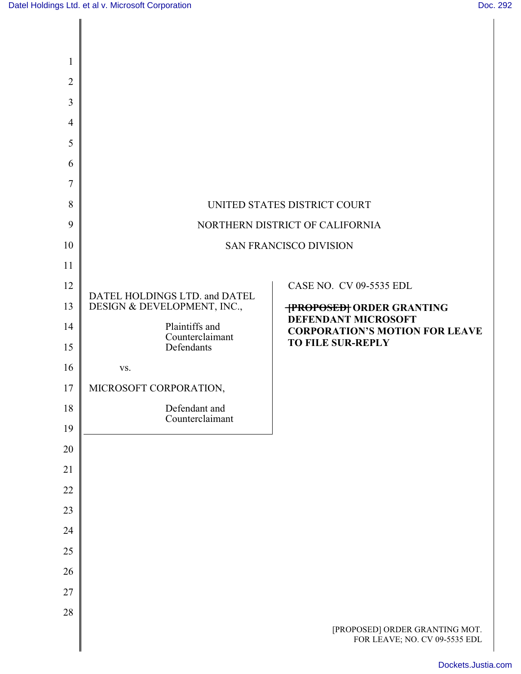| $\mathbf{1}$   |                                   |                                                                 |
|----------------|-----------------------------------|-----------------------------------------------------------------|
| $\overline{2}$ |                                   |                                                                 |
| 3              |                                   |                                                                 |
| $\overline{4}$ |                                   |                                                                 |
| 5              |                                   |                                                                 |
| 6              |                                   |                                                                 |
| 7              |                                   |                                                                 |
| 8              | UNITED STATES DISTRICT COURT      |                                                                 |
| 9              | NORTHERN DISTRICT OF CALIFORNIA   |                                                                 |
| 10             | <b>SAN FRANCISCO DIVISION</b>     |                                                                 |
| 11             |                                   |                                                                 |
| 12             | DATEL HOLDINGS LTD. and DATEL     | CASE NO. CV 09-5535 EDL                                         |
| 13             | DESIGN & DEVELOPMENT, INC.,       | <b>TPROPOSEDT ORDER GRANTING</b><br>DEFENDANT MICROSOFT         |
| 14             | Plaintiffs and<br>Counterclaimant | <b>CORPORATION'S MOTION FOR LEAVE</b>                           |
| 15             | Defendants                        | <b>TO FILE SUR-REPLY</b>                                        |
| 16             | VS.                               |                                                                 |
| 17             | MICROSOFT CORPORATION,            |                                                                 |
| 18             | Defendant and<br>Counterclaimant  |                                                                 |
| 19             |                                   |                                                                 |
| 20             |                                   |                                                                 |
| 21             |                                   |                                                                 |
| 22             |                                   |                                                                 |
| 23             |                                   |                                                                 |
| 24             |                                   |                                                                 |
| 25<br>26       |                                   |                                                                 |
| 27             |                                   |                                                                 |
| 28             |                                   |                                                                 |
|                |                                   | [PROPOSED] ORDER GRANTING MOT.<br>FOR LEAVE; NO. CV 09-5535 EDL |